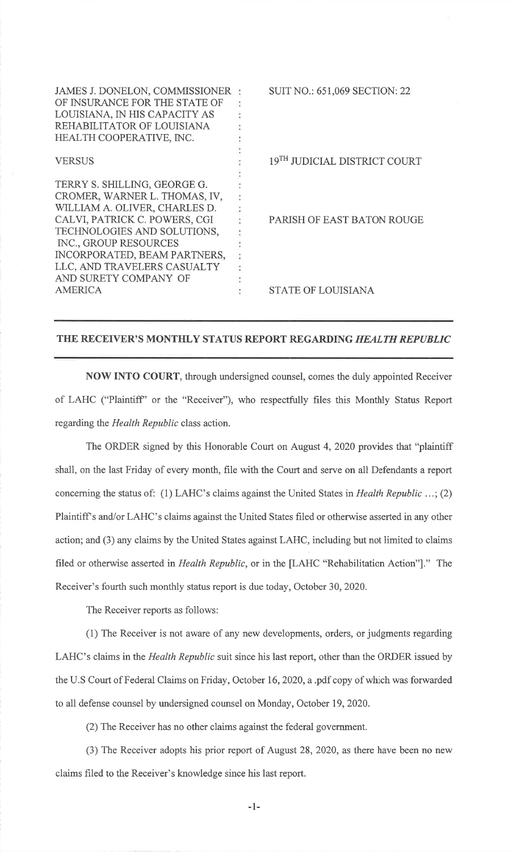| JAMES J. DONELON, COMMISSIONER<br>OF INSURANCE FOR THE STATE OF<br>LOUISIANA, IN HIS CAPACITY AS<br>REHABILITATOR OF LOUISIANA<br>HEALTH COOPERATIVE, INC.                                                                                                                      | <b>SUIT NO.: 651,069 SECTION: 22</b>     |
|---------------------------------------------------------------------------------------------------------------------------------------------------------------------------------------------------------------------------------------------------------------------------------|------------------------------------------|
| <b>VERSUS</b>                                                                                                                                                                                                                                                                   | 19 <sup>TH</sup> JUDICIAL DISTRICT COURT |
| TERRY S. SHILLING, GEORGE G.<br>CROMER, WARNER L. THOMAS, IV,<br>WILLIAM A. OLIVER, CHARLES D.<br>CALVI, PATRICK C. POWERS, CGI<br>TECHNOLOGIES AND SOLUTIONS,<br>INC., GROUP RESOURCES<br>INCORPORATED, BEAM PARTNERS,<br>LLC, AND TRAVELERS CASUALTY<br>AND SURETY COMPANY OF | PARISH OF EAST BATON ROUGE               |
| <b>AMERICA</b>                                                                                                                                                                                                                                                                  | <b>STATE OF LOUISIANA</b>                |

## THE RECEIVER'S MONTHLY STATUS REPORT REGARDING HEALTH REPUBLIC

NOW INTO COURT, through undersigned counsel, comes the duly appointed Receiverof LAHC ("Plaintiff' or the "Receiver"), who respectfully files this Monthly Status Reportregarding the Health Republic class action.

The ORDER signed by this Honorable Court on August 4,2020 provides that "plaintiffshall, on the last Friday of every month, file with the Court and serve on all Defendants a reportconcerning the status of: (1) LAHC's claims against the United States in Health Republic ...; (2)Plaintiff's and/or LAHC's claims against the United States filed or otherwise asserted in any other action; and (3) any claims by the United States against LAHC, including but not limited to claimsfiled or otherwise asserted in Health Republic, or in the [LAHC "Rehabilitation Action"]." TheReceiver's fourth such monthly status report is due today, October 30,2020.

The Receiver reports as follows:

(1) The Receiver is not aware of any new developments, orders, or judgments regardingLAHC's claims in the *Health Republic* suit since his last report, other than the ORDER issued by the U.S Court of Federal Claims on Friday, October 16,2020, a .pdf copy of which was forwardedto all defense counsel by undersigned counsel on Monday, October 19,2020.

(2) The Receiver has no other claims against the federal government.

(3) The Receiver adopts his prior report of August 28,2020, as there have been no newclaims filed to the Receiver's knowledge since his last report.

-l-